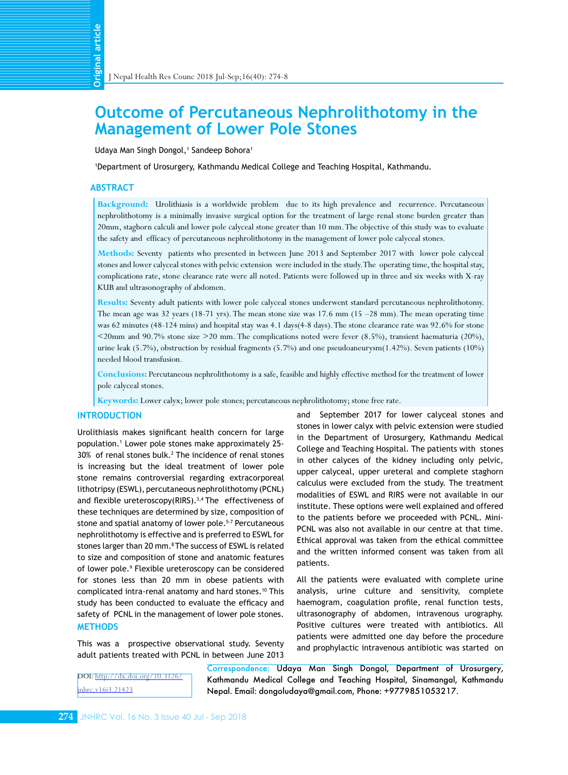# **Outcome of Percutaneous Nephrolithotomy in the Management of Lower Pole Stones**

Udaya Man Singh Dongol,<sup>1</sup> Sandeep Bohora<sup>1</sup>

1 Department of Urosurgery, Kathmandu Medical College and Teaching Hospital, Kathmandu.

# **ABSTRACT**

**Original article** 

Original article

**Background:** Urolithiasis is a worldwide problem due to its high prevalence and recurrence. Percutaneous nephrolithotomy is a minimally invasive surgical option for the treatment of large renal stone burden greater than 20mm, staghorn calculi and lower pole calyceal stone greater than 10 mm. The objective of this study was to evaluate the safety and efficacy of percutaneous nephrolithotomy in the management of lower pole calyceal stones.

**Methods:** Seventy patients who presented in between June 2013 and September 2017 with lower pole calyceal stones and lower calyceal stones with pelvic extension were included in the study. The operating time, the hospital stay, complications rate, stone clearance rate were all noted. Patients were followed up in three and six weeks with X-ray KUB and ultrasonography of abdomen.

**Results:** Seventy adult patients with lower pole calyceal stones underwent standard percutaneous nephrolithotomy. The mean age was 32 years (18-71 yrs). The mean stone size was 17.6 mm (15 –28 mm). The mean operating time was 62 minutes (48-124 mins) and hospital stay was 4.1 days(4-8 days). The stone clearance rate was 92.6% for stone  $\leq$ 20mm and 90.7% stone size  $\geq$ 20 mm. The complications noted were fever (8.5%), transient haematuria (20%), urine leak (5.7%), obstruction by residual fragments (5.7%) and one pseudoaneurysm(1.42%). Seven patients (10%) needed blood transfusion.

**Conclusions:** Percutaneous nephrolithotomy is a safe, feasible and highly effective method for the treatment of lower pole calyceal stones.

**Keywords:** Lower calyx; lower pole stones; percutaneous nephrolithotomy; stone free rate.

## **INTRODUCTION**

Urolithiasis makes significant health concern for large population.<sup>1</sup> Lower pole stones make approximately 25- 30% of renal stones bulk.<sup>2</sup> The incidence of renal stones is increasing but the ideal treatment of lower pole stone remains controversial regarding extracorporeal lithotripsy (ESWL), percutaneous nephrolithotomy (PCNL) and flexible ureteroscopy(RIRS).  $3,4$  The effectiveness of these techniques are determined by size, composition of stone and spatial anatomy of lower pole.<sup>5-7</sup> Percutaneous nephrolithotomy is effective and is preferred to ESWL for stones larger than 20 mm.<sup>8</sup> The success of ESWL is related to size and composition of stone and anatomic features of lower pole.<sup>9</sup> Flexible ureteroscopy can be considered for stones less than 20 mm in obese patients with complicated intra-renal anatomy and hard stones.<sup>10</sup> This study has been conducted to evaluate the efficacy and safety of PCNL in the management of lower pole stones. **METHODS**

This was a prospective observational study. Seventy adult patients treated with PCNL in between June 2013

DOI: [http://dx.doi.org/10.3126/](http://dx.doi.org/10.3126/jnhrc.v16i3.21423) inhrc.v16i3.21423

and September 2017 for lower calyceal stones and stones in lower calyx with pelvic extension were studied in the Department of Urosurgery, Kathmandu Medical College and Teaching Hospital. The patients with stones in other calyces of the kidney including only pelvic, upper calyceal, upper ureteral and complete staghorn calculus were excluded from the study. The treatment modalities of ESWL and RIRS were not available in our institute. These options were well explained and offered to the patients before we proceeded with PCNL. Mini-PCNL was also not available in our centre at that time. Ethical approval was taken from the ethical committee and the written informed consent was taken from all patients.

All the patients were evaluated with complete urine analysis, urine culture and sensitivity, complete haemogram, coagulation profile, renal function tests, ultrasonography of abdomen, intravenous urography. Positive cultures were treated with antibiotics. All patients were admitted one day before the procedure and prophylactic intravenous antibiotic was started on

Correspondence: Udaya Man Singh Dongol, Department of Urosurgery, Kathmandu Medical College and Teaching Hospital, Sinamangal, Kathmandu Nepal. Email: dongoludaya@gmail.com, Phone: +9779851053217.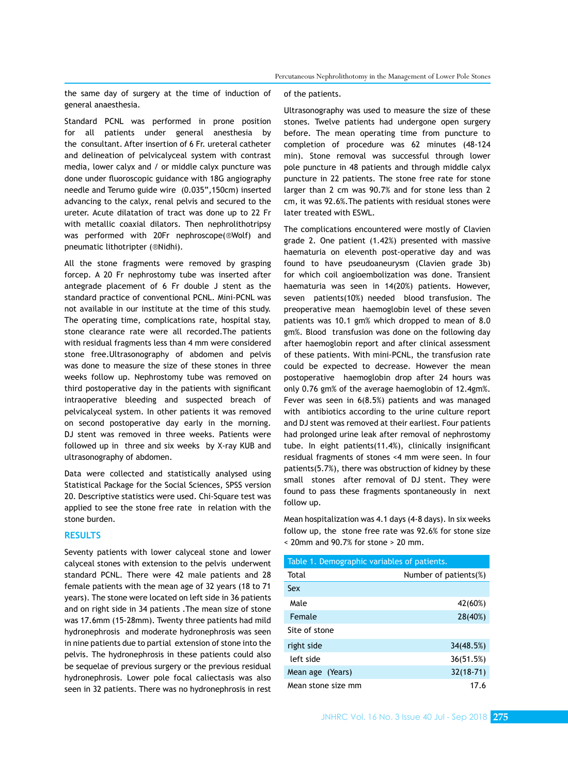the same day of surgery at the time of induction of general anaesthesia.

Standard PCNL was performed in prone position for all patients under general anesthesia by the consultant. After insertion of 6 Fr. ureteral catheter and delineation of pelvicalyceal system with contrast media, lower calyx and / or middle calyx puncture was done under fluoroscopic guidance with 18G angiography needle and Terumo guide wire (0.035",150cm) inserted advancing to the calyx, renal pelvis and secured to the ureter. Acute dilatation of tract was done up to 22 Fr with metallic coaxial dilators. Then nephrolithotripsy was performed with 20Fr nephroscope(®Wolf) and pneumatic lithotripter (®Nidhi).

All the stone fragments were removed by grasping forcep. A 20 Fr nephrostomy tube was inserted after antegrade placement of 6 Fr double J stent as the standard practice of conventional PCNL. Mini-PCNL was not available in our institute at the time of this study. The operating time, complications rate, hospital stay, stone clearance rate were all recorded.The patients with residual fragments less than 4 mm were considered stone free.Ultrasonography of abdomen and pelvis was done to measure the size of these stones in three weeks follow up. Nephrostomy tube was removed on third postoperative day in the patients with significant intraoperative bleeding and suspected breach of pelvicalyceal system. In other patients it was removed on second postoperative day early in the morning. DJ stent was removed in three weeks. Patients were followed up in three and six weeks by X-ray KUB and ultrasonography of abdomen.

Data were collected and statistically analysed using Statistical Package for the Social Sciences, SPSS version 20. Descriptive statistics were used. Chi-Square test was applied to see the stone free rate in relation with the stone burden.

# **RESULTS**

Seventy patients with lower calyceal stone and lower calyceal stones with extension to the pelvis underwent standard PCNL. There were 42 male patients and 28 female patients with the mean age of 32 years (18 to 71 years). The stone were located on left side in 36 patients and on right side in 34 patients .The mean size of stone was 17.6mm (15-28mm). Twenty three patients had mild hydronephrosis and moderate hydronephrosis was seen in nine patients due to partial extension of stone into the pelvis. The hydronephrosis in these patients could also be sequelae of previous surgery or the previous residual hydronephrosis. Lower pole focal caliectasis was also seen in 32 patients. There was no hydronephrosis in rest

#### of the patients.

Ultrasonography was used to measure the size of these stones. Twelve patients had undergone open surgery before. The mean operating time from puncture to completion of procedure was 62 minutes (48-124 min). Stone removal was successful through lower pole puncture in 48 patients and through middle calyx puncture in 22 patients. The stone free rate for stone larger than 2 cm was 90.7% and for stone less than 2 cm, it was 92.6%.The patients with residual stones were later treated with ESWL.

The complications encountered were mostly of Clavien grade 2. One patient (1.42%) presented with massive haematuria on eleventh post-operative day and was found to have pseudoaneurysm (Clavien grade 3b) for which coil angioembolization was done. Transient haematuria was seen in 14(20%) patients. However, seven patients(10%) needed blood transfusion. The preoperative mean haemoglobin level of these seven patients was 10.1 gm% which dropped to mean of 8.0 gm%. Blood transfusion was done on the following day after haemoglobin report and after clinical assessment of these patients. With mini-PCNL, the transfusion rate could be expected to decrease. However the mean postoperative haemoglobin drop after 24 hours was only 0.76 gm% of the average haemoglobin of 12.4gm%. Fever was seen in 6(8.5%) patients and was managed with antibiotics according to the urine culture report and DJ stent was removed at their earliest. Four patients had prolonged urine leak after removal of nephrostomy tube. In eight patients(11.4%), clinically insignificant residual fragments of stones <4 mm were seen. In four patients(5.7%), there was obstruction of kidney by these small stones after removal of DJ stent. They were found to pass these fragments spontaneously in next follow up.

Mean hospitalization was 4.1 days (4-8 days). In six weeks follow up, the stone free rate was 92.6% for stone size < 20mm and 90.7% for stone > 20 mm.

| Table 1. Demographic variables of patients. |                       |  |
|---------------------------------------------|-----------------------|--|
| Total                                       | Number of patients(%) |  |
| Sex                                         |                       |  |
| Male                                        | 42(60%)               |  |
| Female                                      | 28(40%)               |  |
| Site of stone                               |                       |  |
| right side                                  | 34(48.5%)             |  |
| left side                                   | 36(51.5%)             |  |
| Mean age (Years)                            | $32(18-71)$           |  |
| Mean stone size mm                          | 17.6                  |  |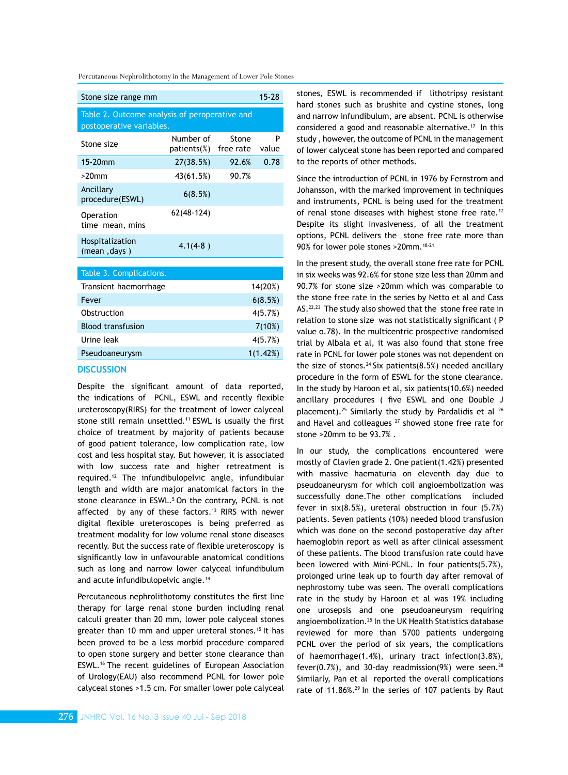Percutaneous Nephrolithotomy in the Management of Lower Pole Stones

| Stone size range mm                                                       |                                    |       | 15-28      |
|---------------------------------------------------------------------------|------------------------------------|-------|------------|
| Table 2. Outcome analysis of peroperative and<br>postoperative variables. |                                    |       |            |
| Stone size                                                                | Number of<br>patients(%) free rate | Stone | P<br>value |
| $15 - 20$ mm                                                              | 27(38.5%)                          | 92.6% | 0.78       |
| $>20$ mm                                                                  | 43(61.5%)                          | 90.7% |            |
| Ancillary<br>procedure(ESWL)                                              | 6(8.5%)                            |       |            |
| Operation<br>time mean, mins                                              | $62(48-124)$                       |       |            |
| Hospitalization<br>(mean, days)                                           | $4.1(4-8)$                         |       |            |

#### Table 3. Complications.

| Transient haemorrhage    | 14(20%)  |
|--------------------------|----------|
| Fever                    | 6(8.5%)  |
| Obstruction              | 4(5.7%)  |
| <b>Blood transfusion</b> | 7(10%)   |
| Urine leak               | 4(5.7%)  |
| Pseudoaneurysm           | 1(1.42%) |
|                          |          |

# **DISCUSSION**

Despite the significant amount of data reported, the indications of PCNL, ESWL and recently flexible ureteroscopy(RIRS) for the treatment of lower calyceal stone still remain unsettled.<sup>11</sup> ESWL is usually the first choice of treatment by majority of patients because of good patient tolerance, low complication rate, low cost and less hospital stay. But however, it is associated with low success rate and higher retreatment is required.<sup>12</sup> The infundibulopelvic angle, infundibular length and width are major anatomical factors in the stone clearance in ESWL.<sup>5</sup> On the contrary, PCNL is not affected by any of these factors.<sup>13</sup> RIRS with newer digital flexible ureteroscopes is being preferred as treatment modality for low volume renal stone diseases recently. But the success rate of flexible ureteroscopy is significantly low in unfavourable anatomical conditions such as long and narrow lower calyceal infundibulum and acute infundibulopelvic angle.<sup>14</sup>

Percutaneous nephrolithotomy constitutes the first line therapy for large renal stone burden including renal calculi greater than 20 mm, lower pole calyceal stones greater than 10 mm and upper ureteral stones.<sup>15</sup> It has been proved to be a less morbid procedure compared to open stone surgery and better stone clearance than ESWL.16 The recent guidelines of European Association of Urology(EAU) also recommend PCNL for lower pole calyceal stones >1.5 cm. For smaller lower pole calyceal

stones, ESWL is recommended if lithotripsy resistant hard stones such as brushite and cystine stones, long and narrow infundibulum, are absent. PCNL is otherwise considered a good and reasonable alternative.<sup>17</sup> In this study , however, the outcome of PCNL in the management of lower calyceal stone has been reported and compared to the reports of other methods.

Since the introduction of PCNL in 1976 by Fernstrom and Johansson, with the marked improvement in techniques and instruments, PCNL is being used for the treatment of renal stone diseases with highest stone free rate.<sup>17</sup> Despite its slight invasiveness, of all the treatment options, PCNL delivers the stone free rate more than 90% for lower pole stones >20mm.18-21

In the present study, the overall stone free rate for PCNL in six weeks was 92.6% for stone size less than 20mm and 90.7% for stone size >20mm which was comparable to the stone free rate in the series by Netto et al and Cass AS.<sup>22,23</sup> The study also showed that the stone free rate in relation to stone size was not statistically significant ( P value o.78). In the multicentric prospective randomised trial by Albala et al, it was also found that stone free rate in PCNL for lower pole stones was not dependent on the size of stones.<sup>24</sup> Six patients(8.5%) needed ancillary procedure in the form of ESWL for the stone clearance. In the study by Haroon et al, six patients(10.6%) needed ancillary procedures ( five ESWL and one Double J placement).<sup>25</sup> Similarly the study by Pardalidis et al 26 and Havel and colleagues<sup>27</sup> showed stone free rate for stone >20mm to be 93.7% .

In our study, the complications encountered were mostly of Clavien grade 2. One patient(1.42%) presented with massive haematuria on eleventh day due to pseudoaneurysm for which coil angioembolization was successfully done.The other complications included fever in six(8.5%), ureteral obstruction in four (5.7%) patients. Seven patients (10%) needed blood transfusion which was done on the second postoperative day after haemoglobin report as well as after clinical assessment of these patients. The blood transfusion rate could have been lowered with Mini-PCNL. In four patients(5.7%), prolonged urine leak up to fourth day after removal of nephrostomy tube was seen. The overall complications rate in the study by Haroon et al was 19% including one urosepsis and one pseudoaneurysm requiring angioembolization.<sup>25</sup> In the UK Health Statistics database reviewed for more than 5700 patients undergoing PCNL over the period of six years, the complications of haemorrhage(1.4%), urinary tract infection(3.8%), fever(0.7%), and 30-day readmission(9%) were seen.<sup>28</sup> Similarly, Pan et al reported the overall complications rate of 11.86%.<sup>29</sup> In the series of 107 patients by Raut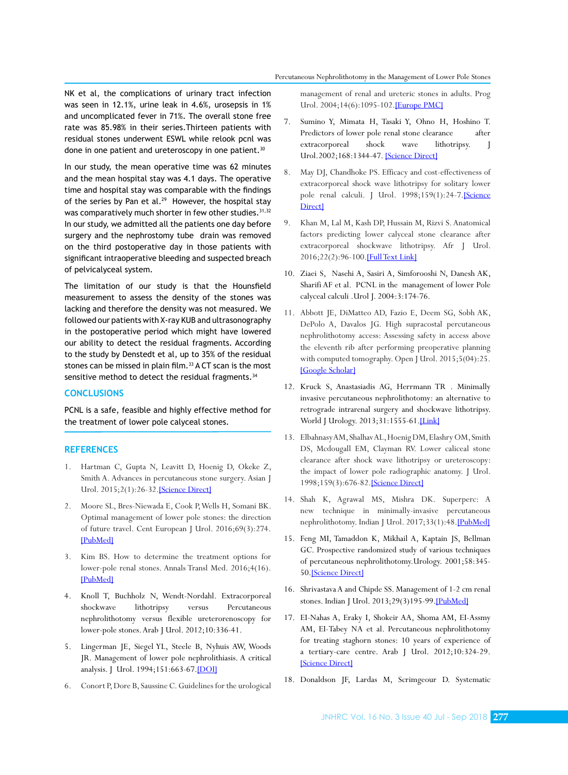NK et al, the complications of urinary tract infection was seen in 12.1%, urine leak in 4.6%, urosepsis in 1% and uncomplicated fever in 71%. The overall stone free rate was 85.98% in their series.Thirteen patients with residual stones underwent ESWL while relook pcnl was done in one patient and ureteroscopy in one patient.<sup>30</sup>

In our study, the mean operative time was 62 minutes and the mean hospital stay was 4.1 days. The operative time and hospital stay was comparable with the findings of the series by Pan et al.<sup>29</sup> However, the hospital stay was comparatively much shorter in few other studies.<sup>31,32</sup> In our study, we admitted all the patients one day before surgery and the nephrostomy tube drain was removed on the third postoperative day in those patients with significant intraoperative bleeding and suspected breach of pelvicalyceal system.

The limitation of our study is that the Hounsfield measurement to assess the density of the stones was lacking and therefore the density was not measured. We followed our patients with X-ray KUB and ultrasonography in the postoperative period which might have lowered our ability to detect the residual fragments. According to the study by Denstedt et al, up to 35% of the residual stones can be missed in plain film.<sup>33</sup> A CT scan is the most sensitive method to detect the residual fragments.<sup>34</sup>

# **CONCLUSIONS**

PCNL is a safe, feasible and highly effective method for the treatment of lower pole calyceal stones.

## **REFERENCES**

- 1. Hartman C, Gupta N, Leavitt D, Hoenig D, Okeke Z, Smith A. Advances in percutaneous stone surgery. Asian J Urol. 2015;2(1):26-32.[\[Science Direct\]](https://www.sciencedirect.com/science/article/pii/S2214388215000338)
- 2. Moore SL, Bres-Niewada E, Cook P, Wells H, Somani BK. Optimal management of lower pole stones: the direction of future travel. Cent European J Urol. 2016;69(3):274. [\[PubMed\]](https://www.ncbi.nlm.nih.gov/pmc/articles/PMC5057048/)
- 3. Kim BS. How to determine the treatment options for lower-pole renal stones. Annals Transl Med. 2016;4(16). [\[PubMed\]](https://www.ncbi.nlm.nih.gov/pmc/articles/PMC5009018/)
- 4. Knoll T, Buchholz N, Wendt-Nordahl. Extracorporeal shockwave lithotripsy versus Percutaneous nephrolithotomy versus flexible ureterorenoscopy for lower-pole stones. Arab J Urol. 2012;10:336-41.
- 5. Lingerman JE, Siegel YL, Steele B, Nyhuis AW, Woods JR. Management of lower pole nephrolithiasis. A critical analysis. J Urol. 1994;151:663-67.[\[DOI\]](https://doi.org/10.1016/S0022-5347(17)35042-5)
- 6. Conort P, Dore B, Saussine C. Guidelines for the urological

management of renal and ureteric stones in adults. Prog Urol. 2004;14(6):1095-102.[\[Europe PMC\]](http://europepmc.org/abstract/med/15751401)

- 7. Sumino Y, Mimata H, Tasaki Y, Ohno H, Hoshino T. Predictors of lower pole renal stone clearance after extracorporeal shock wave lithotripsy. J Urol.2002;168:1344-47. [\[Science Direct\]](https://www.sciencedirect.com/science/article/pii/S002253470564445X)
- 8. May DJ, Chandhoke PS. Efficacy and cost-effectiveness of extracorporeal shock wave lithotripsy for solitary lower pole renal calculi. J Urol. 1998;159(1):24-7.[Science [Direct\]](https://www.sciencedirect.com/science/article/pii/S0022534701639995)
- 9. Khan M, Lal M, Kash DP, Hussain M, Rizvi S. Anatomical factors predicting lower calyceal stone clearance after extracorporeal shockwave lithotripsy. Afr J Urol. 2016;22(2):96-100.[\[Full Text Link\]](https://www.ajol.info/index.php/aju/article/view/136866)
- 10. Ziaei S, Nasehi A, Sasiri A, Simforooshi N, Danesh AK, Sharifi AF et al. PCNL in the management of lower Pole calyceal calculi .Urol J. 2004:3:174-76.
- 11. Abbott JE, DiMatteo AD, Fazio E, Deem SG, Sobh AK, DePolo A, Davalos JG. High supracostal percutaneous nephrolithotomy access: Assessing safety in access above the eleventh rib after performing preoperative planning with computed tomography. Open J Urol. 2015;5(04):25. [\[Google Scholar\]](https://scholar.google.com/scholar?hl=en&as_sdt=0%2C5&q=Joel+EA%2C+Anthony+D%2C+Di+Matteo%2C+Elie+F%2C+Samuel+GD%2C+Ali+KS+et+al.+High+supracostal+percutaneous+nephrolithotomy+access%3A+Assessing+safety+in+access+above+the+eleventh+rib+after+performing+pre)
- 12. Kruck S, Anastasiadis AG, Herrmann TR . Minimally invasive percutaneous nephrolithotomy: an alternative to retrograde intrarenal surgery and shockwave lithotripsy. World J Urology. 2013;31:1555-61[.\[Link\]](https://link.springer.com/article/10.1007/s00345-012-0962-6)
- 13. Elbahnasy AM, Shalhav AL, Hoenig DM, Elashry OM, Smith DS, Mcdougall EM, Clayman RV. Lower caliceal stone clearance after shock wave lithotripsy or ureteroscopy: the impact of lower pole radiographic anatomy. J Urol. 1998;159(3):676-82.[\[Science Direct\]](https://www.sciencedirect.com/science/article/pii/S0022534701636991)
- 14. Shah K, Agrawal MS, Mishra DK. Superperc: A new technique in minimally-invasive percutaneous nephrolithotomy. Indian J Urol. 2017;33(1):48[.\[PubMed\]](https://www.ncbi.nlm.nih.gov/pmc/articles/PMC5264193/)
- 15. Feng MI, Tamaddon K, Mikhail A, Kaptain JS, Bellman GC. Prospective randomized study of various techniques of percutaneous nephrolithotomy.Urology. 2001;58:345- 50.[\[Science Direct\]](https://www.sciencedirect.com/science/article/pii/S0090429501012250)
- 16. Shrivastava A and Chipde SS. Management of 1-2 cm renal stones. Indian J Urol. 2013;29(3)195-99.[\[PubMed\]](https://www.ncbi.nlm.nih.gov/pmc/articles/PMC3783699/)
- 17. EI-Nahas A, Eraky I, Shokeir AA, Shoma AM, EI-Assmy AM, EI-Tabey NA et al. Percutaneous nephrolithotomy for treating staghorn stones: 10 years of experience of a tertiary-care centre. Arab J Urol. 2012;10:324-29. [\[Science Direct\]](https://www.sciencedirect.com/science/article/pii/S2090598X12000460)
- 18. Donaldson JF, Lardas M, Scrimgeour D. Systematic